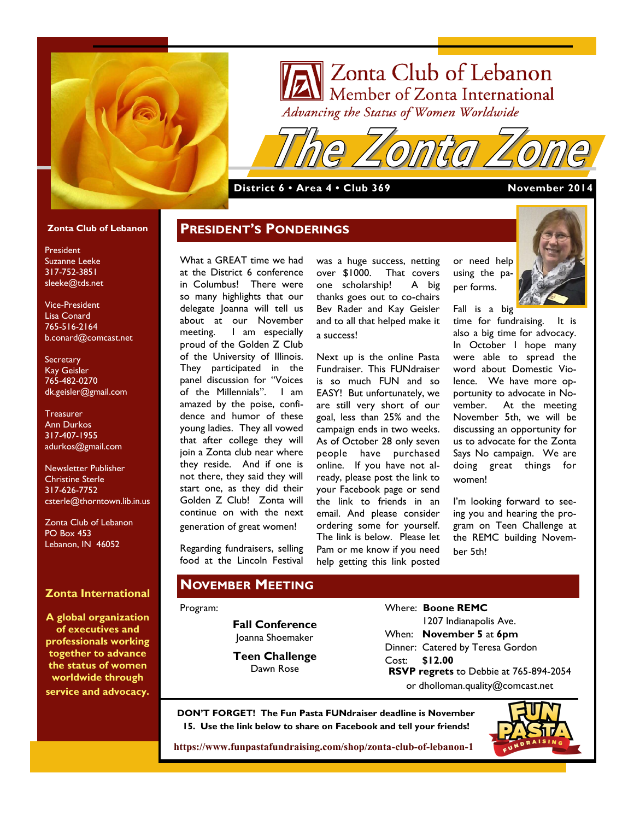

# V Zonta Club of Lebanon **Zonta Club of Lebanon**<br>Member of Zonta International<br>dvancing the Status of Women Worldwide Advancing the Status of Women Worldwide

#### **District 6 • Area 4 • Club 369 November 2014**

#### **Zonta Club of Lebanon**

President Suzanne Leeke 317-752-3851 sleeke@tds.net

Vice-President Lisa Conard 765-516-2164 b.conard@comcast.net

**Secretary** Kay Geisler 765-482-0270 dk.geisler@gmail.com

**Treasurer** Ann Durkos 317-407-1955 adurkos@gmail.com

Newsletter Publisher Christine Sterle 317-626-7752 csterle@thorntown.lib.in.us

Zonta Club of Lebanon PO Box 453 Lebanon, IN 46052

### **Zonta International**

**A global organization of executives and professionals working together to advance the status of women worldwide through service and advocacy.**

What a GREAT time we had at the District 6 conference in Columbus! There were so many highlights that our delegate Joanna will tell us about at our November meeting. I am especially proud of the Golden Z Club of the University of Illinois. They participated in the panel discussion for "Voices of the Millennials". I am amazed by the poise, confidence and humor of these young ladies. They all vowed that after college they will join a Zonta club near where they reside. And if one is not there, they said they will start one, as they did their Golden Z Club! Zonta will continue on with the next generation of great women!

**PRESIDENT'S PONDERINGS**

Regarding fundraisers, selling food at the Lincoln Festival

#### **NOVEMBER MEETING**

#### Program:

**Fall Conference** Joanna Shoemaker

**Teen Challenge** Dawn Rose

was a huge success, netting over \$1000. That covers one scholarship! A big thanks goes out to co-chairs Bev Rader and Kay Geisler and to all that helped make it a success!

Next up is the online Pasta Fundraiser. This FUNdraiser is so much FUN and so EASY! But unfortunately, we are still very short of our goal, less than 25% and the campaign ends in two weeks. As of October 28 only seven people have purchased online. If you have not already, please post the link to your Facebook page or send the link to friends in an email. And please consider ordering some for yourself. The link is below. Please let Pam or me know if you need help getting this link posted



Fall is a big

per forms.

time for fundraising. It is also a big time for advocacy. In October I hope many were able to spread the word about Domestic Violence. We have more opportunity to advocate in November. At the meeting November 5th, we will be discussing an opportunity for us to advocate for the Zonta Says No campaign. We are doing great things for women!

I'm looking forward to seeing you and hearing the program on Teen Challenge at the REMC building November 5th!

Where: **Boone REMC** 1207 Indianapolis Ave. When: **November 5** at **6pm** Dinner: Catered by Teresa Gordon Cost: **\$12.00 RSVP regrets** to Debbie at 765-894-2054 or dholloman.quality@comcast.net

**DON'T FORGET! The Fun Pasta FUNdraiser deadline is November 15. Use the link below to share on Facebook and tell your friends!**



**<https://www.funpastafundraising.com/shop/zonta-club-of-lebanon-1>**